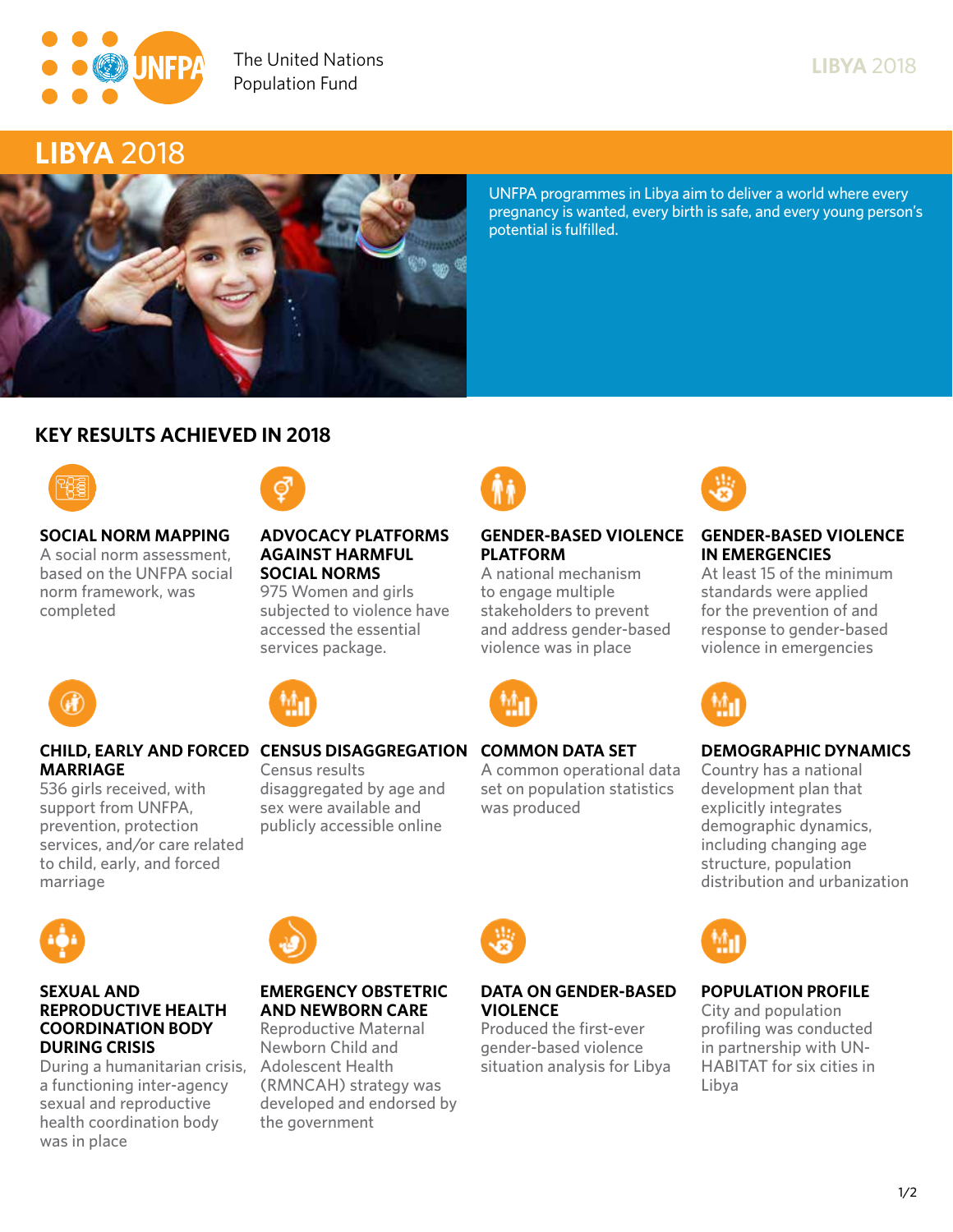

**Ensuring rights and choices for all since 1969**

# **LIBYA 2018**



**UNFPA programmes in Libya aim to deliver a world where every pregnancy is wanted, every birth is safe, and every young person's potential is fulfilled.**

## **KEY RESULTS ACHIEVED IN 2018**





#### **SOCIAL NORM MAPPING Ensuring rights and choices for all since 1969 A social norm assessment, based on the UNFPA social norm framework, was completed**

#### **ADVOCACY PLATFORMS AGAINST HARMFUL SOCIAL NORMS**

**975 Women and girls subjected to violence have accessed the essential services package.**



# **PLATFORM**

**A national mechanism to engage multiple stakeholders to prevent and address gender-based violence was in place**



## **CHILD, EARLY AND FORCED CENSUS DISAGGREGATION COMMON DATA SET**

**A common operational data set on population statistics was produced**



## **GENDER-BASED VIOLENCE GENDER-BASED VIOLENCE IN EMERGENCIES**

**LIBYA 2018**

**At least 15 of the minimum standards were applied for the prevention of and response to gender-based violence in emergencies**



## **DEMOGRAPHIC DYNAMICS**

**Country has a national development plan that explicitly integrates demographic dynamics, including changing age structure, population distribution and urbanization**



**marriage**

**MARRIAGE**

**support from UNFPA, prevention, protection services, and/or care related to child, early, and forced** 

#### **SEXUAL AND REPRODUCTIVE HEALTH COORDINATION BODY DURING CRISIS**

**During a humanitarian crisis, Adolescent Health a functioning inter-agency sexual and reproductive health coordination body was in place**



## **EMERGENCY OBSTETRIC AND NEWBORN CARE**

**Reproductive Maternal Newborn Child and (RMNCAH) strategy was developed and endorsed by the government**



## **DATA ON GENDER-BASED VIOLENCE**

**Produced the first-ever gender-based violence situation analysis for Libya**



**City and population profiling was conducted in partnership with UN-HABITAT for six cities in Libya**



#### **Census results disaggregated by age and**

**sex were available and publicly accessible online**